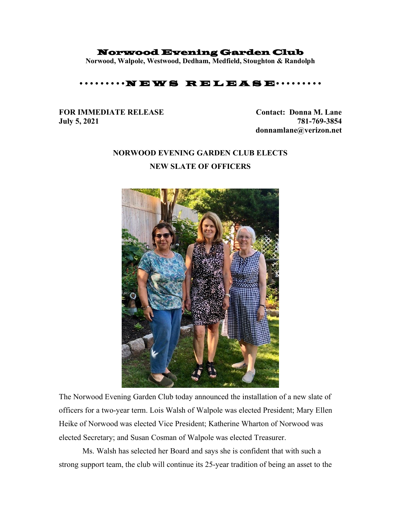## Norwood Evening Garden Club

**Norwood, Walpole, Westwood, Dedham, Medfield, Stoughton & Randolph**

## $\cdots$ N E W S R E L E A S E $\cdots$

## **FOR IMMEDIATE RELEASE Contact: Donna M. Lane July 5, 2021 781-769-3854**

**donnamlane@verizon.net**

## **NORWOOD EVENING GARDEN CLUB ELECTS NEW SLATE OF OFFICERS**



The Norwood Evening Garden Club today announced the installation of a new slate of officers for a two-year term. Lois Walsh of Walpole was elected President; Mary Ellen Heike of Norwood was elected Vice President; Katherine Wharton of Norwood was elected Secretary; and Susan Cosman of Walpole was elected Treasurer.

Ms. Walsh has selected her Board and says she is confident that with such a strong support team, the club will continue its 25-year tradition of being an asset to the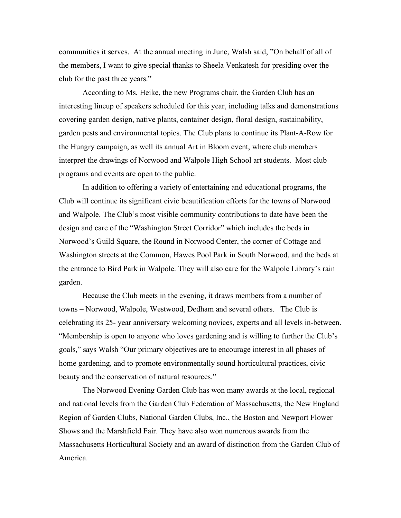communities it serves. At the annual meeting in June, Walsh said, "On behalf of all of the members, I want to give special thanks to Sheela Venkatesh for presiding over the club for the past three years."

According to Ms. Heike, the new Programs chair, the Garden Club has an interesting lineup of speakers scheduled for this year, including talks and demonstrations covering garden design, native plants, container design, floral design, sustainability, garden pests and environmental topics. The Club plans to continue its Plant-A-Row for the Hungry campaign, as well its annual Art in Bloom event, where club members interpret the drawings of Norwood and Walpole High School art students. Most club programs and events are open to the public.

In addition to offering a variety of entertaining and educational programs, the Club will continue its significant civic beautification efforts for the towns of Norwood and Walpole. The Club's most visible community contributions to date have been the design and care of the "Washington Street Corridor" which includes the beds in Norwood's Guild Square, the Round in Norwood Center, the corner of Cottage and Washington streets at the Common, Hawes Pool Park in South Norwood, and the beds at the entrance to Bird Park in Walpole. They will also care for the Walpole Library's rain garden.

Because the Club meets in the evening, it draws members from a number of towns – Norwood, Walpole, Westwood, Dedham and several others. The Club is celebrating its 25- year anniversary welcoming novices, experts and all levels in-between. "Membership is open to anyone who loves gardening and is willing to further the Club's goals," says Walsh "Our primary objectives are to encourage interest in all phases of home gardening, and to promote environmentally sound horticultural practices, civic beauty and the conservation of natural resources."

The Norwood Evening Garden Club has won many awards at the local, regional and national levels from the Garden Club Federation of Massachusetts, the New England Region of Garden Clubs, National Garden Clubs, Inc., the Boston and Newport Flower Shows and the Marshfield Fair. They have also won numerous awards from the Massachusetts Horticultural Society and an award of distinction from the Garden Club of America.